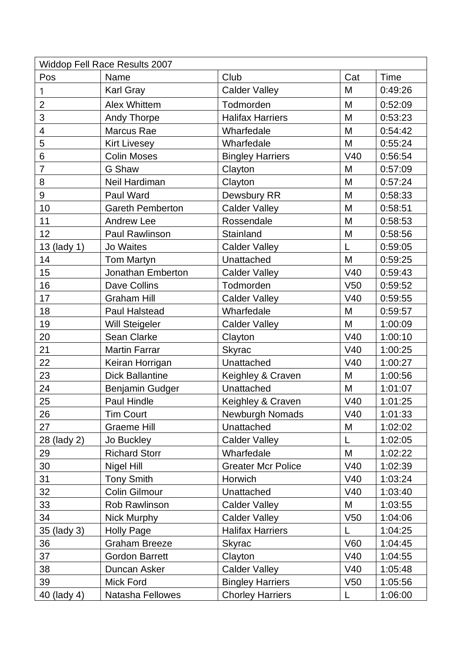| <b>Widdop Fell Race Results 2007</b> |                         |                           |                 |         |  |  |  |  |
|--------------------------------------|-------------------------|---------------------------|-----------------|---------|--|--|--|--|
| Pos                                  | Name                    | Club                      | Cat             | Time    |  |  |  |  |
| 1                                    | Karl Gray               | <b>Calder Valley</b>      | M               | 0:49:26 |  |  |  |  |
| $\overline{2}$                       | <b>Alex Whittem</b>     | Todmorden                 | M               | 0:52:09 |  |  |  |  |
| 3                                    | <b>Andy Thorpe</b>      | <b>Halifax Harriers</b>   | M               | 0:53:23 |  |  |  |  |
| $\overline{\mathcal{A}}$             | Marcus Rae              | Wharfedale                | M               | 0:54:42 |  |  |  |  |
| 5                                    | <b>Kirt Livesey</b>     | Wharfedale                | M               | 0:55:24 |  |  |  |  |
| 6                                    | <b>Colin Moses</b>      | <b>Bingley Harriers</b>   | V40             | 0:56:54 |  |  |  |  |
| $\overline{7}$                       | G Shaw                  | Clayton                   | M               | 0:57:09 |  |  |  |  |
| 8                                    | Neil Hardiman           | Clayton                   | M               | 0:57:24 |  |  |  |  |
| 9                                    | Paul Ward               | Dewsbury RR               | M               | 0:58:33 |  |  |  |  |
| 10                                   | <b>Gareth Pemberton</b> | <b>Calder Valley</b>      | M               | 0:58:51 |  |  |  |  |
| 11                                   | <b>Andrew Lee</b>       | Rossendale                | M               | 0:58:53 |  |  |  |  |
| 12                                   | <b>Paul Rawlinson</b>   | Stainland                 | M               | 0:58:56 |  |  |  |  |
| 13 (lady 1)                          | <b>Jo Waites</b>        | <b>Calder Valley</b>      | L               | 0:59:05 |  |  |  |  |
| 14                                   | <b>Tom Martyn</b>       | Unattached                | M               | 0:59:25 |  |  |  |  |
| 15                                   | Jonathan Emberton       | <b>Calder Valley</b>      | V40             | 0:59:43 |  |  |  |  |
| 16                                   | Dave Collins            | Todmorden                 | V <sub>50</sub> | 0:59:52 |  |  |  |  |
| 17                                   | <b>Graham Hill</b>      | <b>Calder Valley</b>      | V40             | 0:59:55 |  |  |  |  |
| 18                                   | <b>Paul Halstead</b>    | Wharfedale                | M               | 0:59:57 |  |  |  |  |
| 19                                   | <b>Will Steigeler</b>   | <b>Calder Valley</b>      | M               | 1:00:09 |  |  |  |  |
| 20                                   | Sean Clarke             | Clayton                   | V40             | 1:00:10 |  |  |  |  |
| 21                                   | <b>Martin Farrar</b>    | <b>Skyrac</b>             | V40             | 1:00:25 |  |  |  |  |
| 22                                   | Keiran Horrigan         | Unattached                | V40             | 1:00:27 |  |  |  |  |
| 23                                   | <b>Dick Ballantine</b>  | Keighley & Craven         | M               | 1:00:56 |  |  |  |  |
| 24                                   | Benjamin Gudger         | Unattached                | M               | 1:01:07 |  |  |  |  |
| 25                                   | Paul Hindle             | Keighley & Craven         | V40             | 1:01:25 |  |  |  |  |
| 26                                   | Tim Court               | Newburgh Nomads           | V40             | 1:01:33 |  |  |  |  |
| 27                                   | <b>Graeme Hill</b>      | Unattached                | M               | 1:02:02 |  |  |  |  |
| 28 (lady 2)                          | Jo Buckley              | <b>Calder Valley</b>      | L               | 1:02:05 |  |  |  |  |
| 29                                   | <b>Richard Storr</b>    | Wharfedale                | M               | 1:02:22 |  |  |  |  |
| 30                                   | Nigel Hill              | <b>Greater Mcr Police</b> | V40             | 1:02:39 |  |  |  |  |
| 31                                   | <b>Tony Smith</b>       | Horwich                   | V40             | 1:03:24 |  |  |  |  |
| 32                                   | <b>Colin Gilmour</b>    | Unattached                | V40             | 1:03:40 |  |  |  |  |
| 33                                   | Rob Rawlinson           | <b>Calder Valley</b>      | M               | 1:03:55 |  |  |  |  |
| 34                                   | Nick Murphy             | <b>Calder Valley</b>      | V50             | 1:04:06 |  |  |  |  |
| 35 (lady 3)                          | Holly Page              | <b>Halifax Harriers</b>   | L               | 1:04:25 |  |  |  |  |
| 36                                   | <b>Graham Breeze</b>    | <b>Skyrac</b>             | <b>V60</b>      | 1:04:45 |  |  |  |  |
| 37                                   | <b>Gordon Barrett</b>   | Clayton                   | V40             | 1:04:55 |  |  |  |  |
| 38                                   | Duncan Asker            | <b>Calder Valley</b>      | V40             | 1:05:48 |  |  |  |  |
| 39                                   | Mick Ford               | <b>Bingley Harriers</b>   | V <sub>50</sub> | 1:05:56 |  |  |  |  |
| 40 (lady 4)                          | Natasha Fellowes        | <b>Chorley Harriers</b>   | L               | 1:06:00 |  |  |  |  |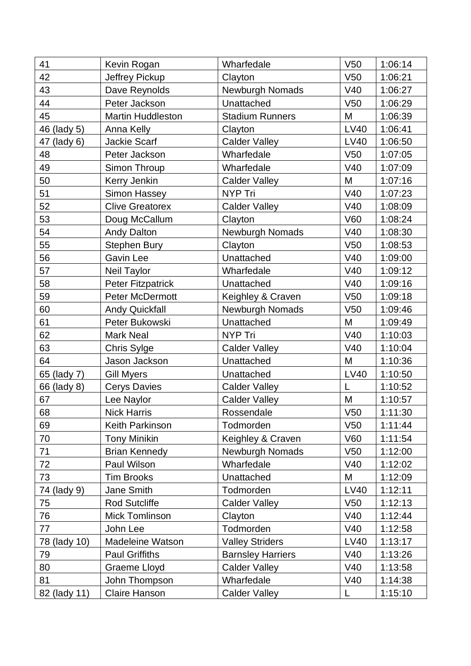| 41           | Kevin Rogan              | Wharfedale               | V50             | 1:06:14 |
|--------------|--------------------------|--------------------------|-----------------|---------|
| 42           | Jeffrey Pickup           | Clayton                  | V50             | 1:06:21 |
| 43           | Dave Reynolds            | Newburgh Nomads          | V40             | 1:06:27 |
| 44           | Peter Jackson            | Unattached               | V <sub>50</sub> | 1:06:29 |
| 45           | <b>Martin Huddleston</b> | <b>Stadium Runners</b>   | M               | 1:06:39 |
| 46 (lady 5)  | Anna Kelly               | Clayton                  | <b>LV40</b>     | 1:06:41 |
| 47 (lady 6)  | Jackie Scarf             | <b>Calder Valley</b>     | <b>LV40</b>     | 1:06:50 |
| 48           | Peter Jackson            | Wharfedale               | V <sub>50</sub> | 1:07:05 |
| 49           | Simon Throup             | Wharfedale               | V40             | 1:07:09 |
| 50           | Kerry Jenkin             | <b>Calder Valley</b>     | M               | 1:07:16 |
| 51           | Simon Hassey             | <b>NYP Tri</b>           | V40             | 1:07:23 |
| 52           | <b>Clive Greatorex</b>   | <b>Calder Valley</b>     | V40             | 1:08:09 |
| 53           | Doug McCallum            | Clayton                  | <b>V60</b>      | 1:08:24 |
| 54           | <b>Andy Dalton</b>       | Newburgh Nomads          | V40             | 1:08:30 |
| 55           | <b>Stephen Bury</b>      | Clayton                  | V <sub>50</sub> | 1:08:53 |
| 56           | <b>Gavin Lee</b>         | Unattached               | V40             | 1:09:00 |
| 57           | Neil Taylor              | Wharfedale               | V40             | 1:09:12 |
| 58           | <b>Peter Fitzpatrick</b> | Unattached               | V40             | 1:09:16 |
| 59           | Peter McDermott          | Keighley & Craven        | V <sub>50</sub> | 1:09:18 |
| 60           | <b>Andy Quickfall</b>    | Newburgh Nomads          | V <sub>50</sub> | 1:09:46 |
| 61           | Peter Bukowski           | Unattached               | M               | 1:09:49 |
| 62           | <b>Mark Neal</b>         | <b>NYP Tri</b>           | V40             | 1:10:03 |
| 63           | Chris Sylge              | <b>Calder Valley</b>     | V40             | 1:10:04 |
| 64           | Jason Jackson            | Unattached               | M               | 1:10:36 |
| 65 (lady 7)  | Gill Myers               | Unattached               | LV40            | 1:10:50 |
| 66 (lady 8)  | <b>Cerys Davies</b>      | <b>Calder Valley</b>     | L               | 1:10:52 |
| 67           | Lee Naylor               | <b>Calder Valley</b>     | M               | 1:10:57 |
| 68           | <b>Nick Harris</b>       | Rossendale               | V50             | 1:11:30 |
| 69           | Keith Parkinson          | Todmorden                | V <sub>50</sub> | 1:11:44 |
| 70           | <b>Tony Minikin</b>      | Keighley & Craven        | <b>V60</b>      | 1:11:54 |
| 71           | <b>Brian Kennedy</b>     | Newburgh Nomads          | V <sub>50</sub> | 1:12:00 |
| 72           | Paul Wilson              | Wharfedale               | V40             | 1:12:02 |
| 73           | <b>Tim Brooks</b>        | Unattached               | M               | 1:12:09 |
| 74 (lady 9)  | Jane Smith               | Todmorden                | <b>LV40</b>     | 1:12:11 |
| 75           | <b>Rod Sutcliffe</b>     | <b>Calder Valley</b>     | V <sub>50</sub> | 1:12:13 |
| 76           | <b>Mick Tomlinson</b>    | Clayton                  | V40             | 1:12:44 |
| 77           | John Lee                 | Todmorden                | V40             | 1:12:58 |
| 78 (lady 10) | <b>Madeleine Watson</b>  | <b>Valley Striders</b>   | LV40            | 1:13:17 |
| 79           | <b>Paul Griffiths</b>    | <b>Barnsley Harriers</b> | V40             | 1:13:26 |
| 80           | <b>Graeme Lloyd</b>      | <b>Calder Valley</b>     | V40             | 1:13:58 |
| 81           | John Thompson            | Wharfedale               | V40             | 1:14:38 |
| 82 (lady 11) | Claire Hanson            | <b>Calder Valley</b>     | L               | 1:15:10 |